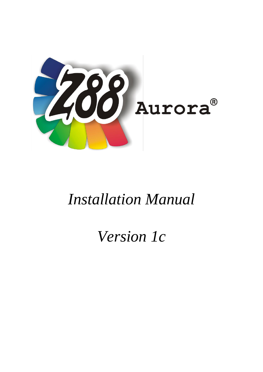

# *Installation Manual*

# *Version 1c*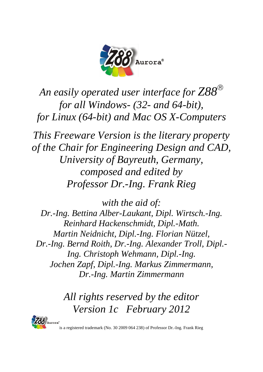

*An easily operated user interface for Z88 for all Windows- (32- and 64-bit), for Linux (64-bit) and Mac OS X-Computers*

*This Freeware Version is the literary property of the Chair for Engineering Design and CAD, University of Bayreuth, Germany, composed and edited by Professor Dr.-Ing. Frank Rieg*

*with the aid of: Dr.-Ing. Bettina Alber-Laukant, Dipl. Wirtsch.-Ing. Reinhard Hackenschmidt, Dipl.-Math. Martin Neidnicht, Dipl.-Ing. Florian Nützel, Dr.-Ing. Bernd Roith, Dr.-Ing. Alexander Troll, Dipl.- Ing. Christoph Wehmann, Dipl.-Ing. Jochen Zapf, Dipl.-Ing. Markus Zimmermann, Dr.-Ing. Martin Zimmermann*

> *All rights reserved by the editor Version 1c February 2012*



is a registered trademark (No. 30 2009 064 238) of Professor Dr.-Ing. Frank Rieg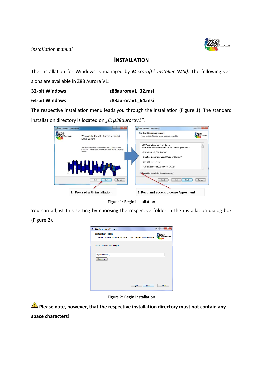

# **INSTALLATION**

The installation for Windows is managed by *Microsoft® Installer (MSI)*. The following versions are available in Z88 Aurora V1:

### **32-bit Windows z88aurorav1\_32.msi**

# **64-bit Windows z88aurorav1\_64.msi**

The respective installation menu leads you through the installation (Figure 1). The standard installation directory is located on "C:\z88aurorav1".



Figure 1: Begin installation

You can adjust this setting by choosing the respective folder in the installation dialog box (Figure 2).

| Z88 Aurora V1 (x86) Setup                                                                                   |                            | $\mathbf{x}$<br>$ -$ |
|-------------------------------------------------------------------------------------------------------------|----------------------------|----------------------|
| <b>Destination Folder</b><br>Click Next to install to the default folder or click Change to choose another. |                            | Aurora               |
| Install Z88 Aurora V1 (x86) to:                                                                             |                            |                      |
| C:\z88aurorav1\<br>Change                                                                                   |                            |                      |
|                                                                                                             |                            |                      |
|                                                                                                             |                            |                      |
|                                                                                                             |                            |                      |
|                                                                                                             | <b>Back</b><br><b>Next</b> | Cancel               |

Figure 2: Begin installation

**Please note, however, that the respective installation directory must not contain any space characters!**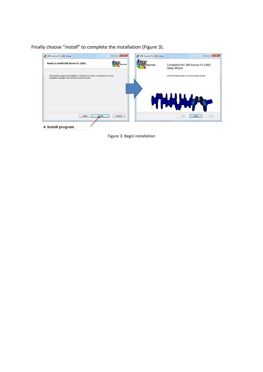Finally choose "*install*" to complete the installation (Figure 3).



Figure 3: Begin installation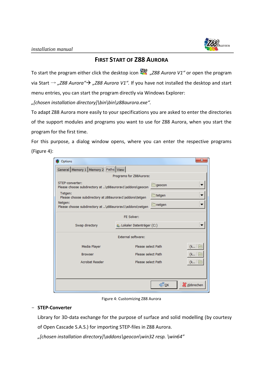

# **FIRST START OF Z88 AURORA**

To start the program either click the desktop icon "*Z88 Aurora V1"* or open the program via Start → "Z88 Aurora"→ "Z88 Aurora V1". If you have not installed the desktop and start menu entries, you can start the program directly via Windows Explorer:

*"[chosen installation directory]\bin\bin\z88aurora.exe".*

To adapt Z88 Aurora more easily to your specifications you are asked to enter the directories of the support modules and programs you want to use for Z88 Aurora, when you start the program for the first time.

For this purpose, a dialog window opens, where you can enter the respective programs (Figure 4):

| Options                                                                     |                                        |                               | $\mathbf{x}$ |  |
|-----------------------------------------------------------------------------|----------------------------------------|-------------------------------|--------------|--|
| General Memory 1 Memory 2 Paths View                                        |                                        |                               |              |  |
| Programs for Z88Aurora:                                                     |                                        |                               |              |  |
| STEP-converter:<br>Please choose subdirectory at \z88aurorav1\addons\geocon |                                        | <b>□ geocon</b>               |              |  |
| Tetgen:<br>Please choose subdirectory at z88aurorav1\addons\tetgen          |                                        | tetgen                        |              |  |
| Netgen:<br>Please choose subdirectory at \z88aurorav1\addons\netgen         |                                        | िnetgen                       |              |  |
| FF Solver:                                                                  |                                        |                               |              |  |
| Swap directory                                                              | Lokaler Datenträger (C:)               |                               |              |  |
| <b>External software:</b>                                                   |                                        |                               |              |  |
| Media Player                                                                | Please select Path                     |                               |              |  |
| <b>Browser</b>                                                              | Please select Path<br>(k               |                               |              |  |
| <b>Acrobat Reader</b>                                                       | Please select Path<br>$(k   \epsilon)$ |                               |              |  |
|                                                                             |                                        |                               |              |  |
|                                                                             |                                        | $\bigoplus_{\underline{O}} K$ | & Abbrechen  |  |

Figure 4: Customizing Z88 Aurora

# - **STEP-Converter**

Library for 3D-data exchange for the purpose of surface and solid modelling (by courtesy of Open Cascade S.A.S.) for importing STEP-files in Z88 Aurora.

*"[chosen installation directory]\addons\geocon\win32 resp. \win64"*